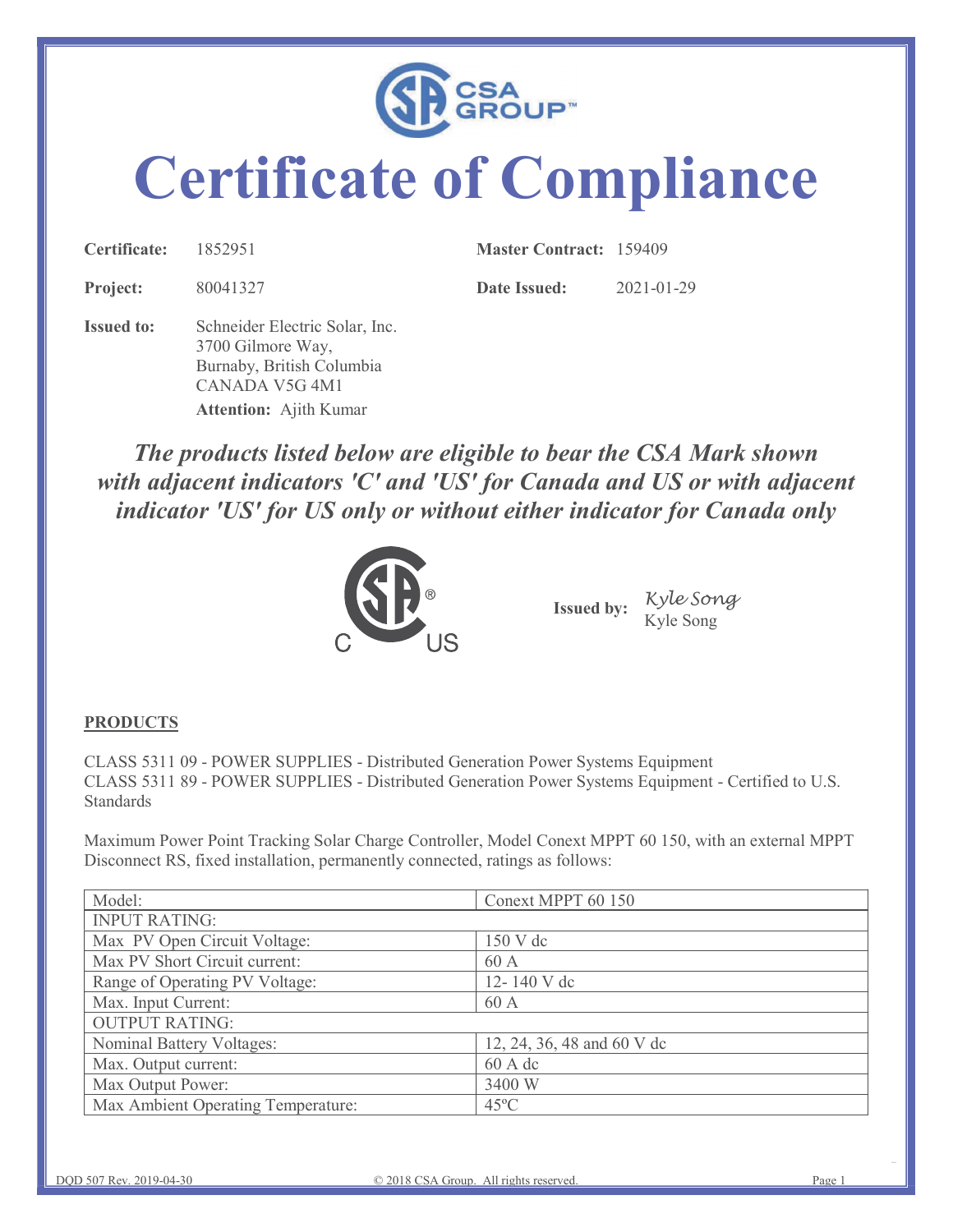

## Certificate of Compliance

| Certificate:      | 1852951                                                                                            | <b>Master Contract: 159409</b> |            |
|-------------------|----------------------------------------------------------------------------------------------------|--------------------------------|------------|
| Project:          | 80041327                                                                                           | Date Issued:                   | 2021-01-29 |
| <b>Issued to:</b> | Schneider Electric Solar, Inc.<br>3700 Gilmore Way,<br>Burnaby, British Columbia<br>CANADA V5G 4M1 |                                |            |
|                   | <b>Attention:</b> Ajith Kumar                                                                      |                                |            |

The products listed below are eligible to bear the CSA Mark shown with adjacent indicators 'C' and 'US' for Canada and US or with adjacent indicator 'US' for US only or without either indicator for Canada only Euraby, British Columbia<br>
CANADA V5G 4M1<br>
Attention: Ajith Kumar<br> **The products listed below are eligible to bear the CSA Mark shown**<br>
with adjacent indicators 'C' and 'US' for Canada and US or with adjacent<br>
indicator 'U CANADA VSG 4M1<br>
Attention: Ajith Kumar<br>
The products listed below are eligible to bear the CSA Mark shown<br>
with adjacent indicators 'C' and 'US' for Canada and US or with adjacent<br>
indicator 'US' for US only or without eit



## **PRODUCTS**

|                                                                               | Kyle Song<br>Kyle Song<br><b>Issued by:</b>                                                                                                                                            |
|-------------------------------------------------------------------------------|----------------------------------------------------------------------------------------------------------------------------------------------------------------------------------------|
| <b>PRODUCTS</b>                                                               |                                                                                                                                                                                        |
|                                                                               | CLASS 5311 09 - POWER SUPPLIES - Distributed Generation Power Systems Equipment<br>CLASS 5311 89 - POWER SUPPLIES - Distributed Generation Power Systems Equipment - Certified to U.S. |
| Standards                                                                     |                                                                                                                                                                                        |
| Disconnect RS, fixed installation, permanently connected, ratings as follows: | Maximum Power Point Tracking Solar Charge Controller, Model Conext MPPT 60 150, with an external MPPT                                                                                  |
| Model:                                                                        | Conext MPPT 60 150                                                                                                                                                                     |
| <b>INPUT RATING:</b>                                                          |                                                                                                                                                                                        |
| Max PV Open Circuit Voltage:                                                  | 150 V dc                                                                                                                                                                               |
| Max PV Short Circuit current:                                                 | 60 A                                                                                                                                                                                   |
| Range of Operating PV Voltage:                                                | 12-140 V dc                                                                                                                                                                            |
| Max. Input Current:                                                           | 60 A                                                                                                                                                                                   |
| <b>OUTPUT RATING:</b>                                                         |                                                                                                                                                                                        |
| Nominal Battery Voltages:                                                     | 12, 24, 36, 48 and 60 V dc                                                                                                                                                             |
| Max. Output current:                                                          | 60 A dc                                                                                                                                                                                |
| Max Output Power:<br>Max Ambient Operating Temperature:                       | 3400 W<br>$45^{\circ}$ C                                                                                                                                                               |